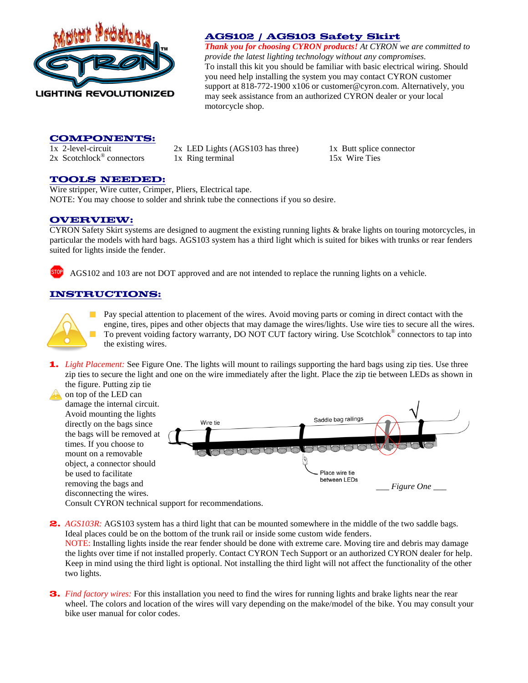

## **AGS102 / AGS103 Safety Skirt**

*Thank you for choosing CYRON products! At CYRON we are committed to provide the latest lighting technology without any compromises.*  To install this kit you should be familiar with basic electrical wiring. Should you need help installing the system you may contact CYRON customer support at 818-772-1900 x106 or [customer@cyron.com.](mailto:customer@cyron.com) Alternatively, you may seek assistance from an authorized CYRON dealer or your local motorcycle shop.

### **COMPONENTS:**

 $2x$  Scotchlock<sup>®</sup> connectors

1x 2-level-circuit 2x LED Lights (AGS103 has three) 1x Butt splice connector 1x Ring terminal 15x Wire Ties

### **TOOLS NEEDED:**

Wire stripper, Wire cutter, Crimper, Pliers, Electrical tape. NOTE: You may choose to solder and shrink tube the connections if you so desire.

### **OVERVIEW:**

CYRON Safety Skirt systems are designed to augment the existing running lights & brake lights on touring motorcycles, in particular the models with hard bags. AGS103 system has a third light which is suited for bikes with trunks or rear fenders suited for lights inside the fender.

a AGS102 and 103 are not DOT approved and are not intended to replace the running lights on a vehicle.

### **INSTRUCTIONS:**



Pay special attention to placement of the wires. Avoid moving parts or coming in direct contact with the engine, tires, pipes and other objects that may damage the wires/lights. Use wire ties to secure all the wires. To prevent voiding factory warranty, DO NOT CUT factory wiring. Use Scotchlok® connectors to tap into the existing wires.

**1.** *Light Placement:* See Figure One. The lights will mount to railings supporting the hard bags using zip ties. Use three zip ties to secure the light and one on the wire immediately after the light. Place the zip tie between LEDs as shown in the figure. Putting zip tie

on top of the LED can damage the internal circuit. Avoid mounting the lights Saddle bag railings directly on the bags since Wire tie the bags will be removed at times. If you choose to  $\rightarrow$ mount on a removable object, a connector should Place wire tie be used to facilitate between LEDs removing the bags and *\_\_\_ Figure One \_\_\_*disconnecting the wires.

Consult CYRON technical support for recommendations.

**2.** *AGS103R:* AGS103 system has a third light that can be mounted somewhere in the middle of the two saddle bags. Ideal places could be on the bottom of the trunk rail or inside some custom wide fenders.

NOTE: Installing lights inside the rear fender should be done with extreme care. Moving tire and debris may damage the lights over time if not installed properly. Contact CYRON Tech Support or an authorized CYRON dealer for help. Keep in mind using the third light is optional. Not installing the third light will not affect the functionality of the other two lights.

**3.** *Find factory wires:* For this installation you need to find the wires for running lights and brake lights near the rear wheel. The colors and location of the wires will vary depending on the make/model of the bike. You may consult your bike user manual for color codes.